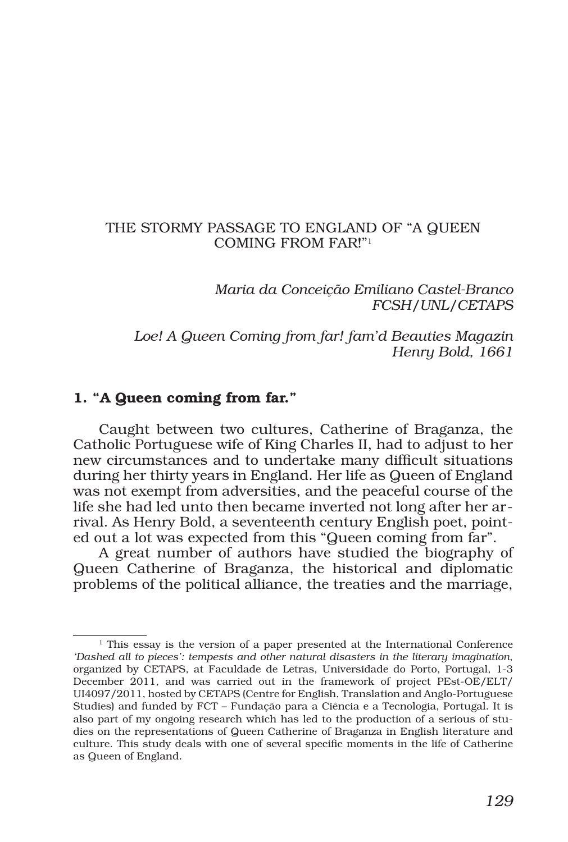## THE STORMY PASSAGE TO ENGLAND OF "A QUEEN COMING FROM FAR!"1

*Maria da Conceição Emiliano Castel-Branco FCSH/UNL/CETAPS*

*Loe! A Queen Coming from far! fam'd Beauties Magazin Henry Bold, 1661*

## 1. "A Queen coming from far."

Caught between two cultures, Catherine of Braganza, the Catholic Portuguese wife of King Charles II, had to adjust to her new circumstances and to undertake many difficult situations during her thirty years in England. Her life as Queen of England was not exempt from adversities, and the peaceful course of the life she had led unto then became inverted not long after her arrival. As Henry Bold, a seventeenth century English poet, pointed out a lot was expected from this "Queen coming from far".

A great number of authors have studied the biography of Queen Catherine of Braganza, the historical and diplomatic problems of the political alliance, the treaties and the marriage,

<sup>&</sup>lt;sup>1</sup> This essay is the version of a paper presented at the International Conference *'Dashed all to pieces': tempests and other natural disasters in the literary imagination*, organized by CETAPS, at Faculdade de Letras, Universidade do Porto, Portugal, 1-3 December 2011, and was carried out in the framework of project PEst-OE/ELT/ UI4097/2011, hosted by CETAPS (Centre for English, Translation and Anglo-Portuguese Studies) and funded by FCT – Fundação para a Ciência e a Tecnologia, Portugal. It is also part of my ongoing research which has led to the production of a serious of studies on the representations of Queen Catherine of Braganza in English literature and culture. This study deals with one of several specific moments in the life of Catherine as Queen of England.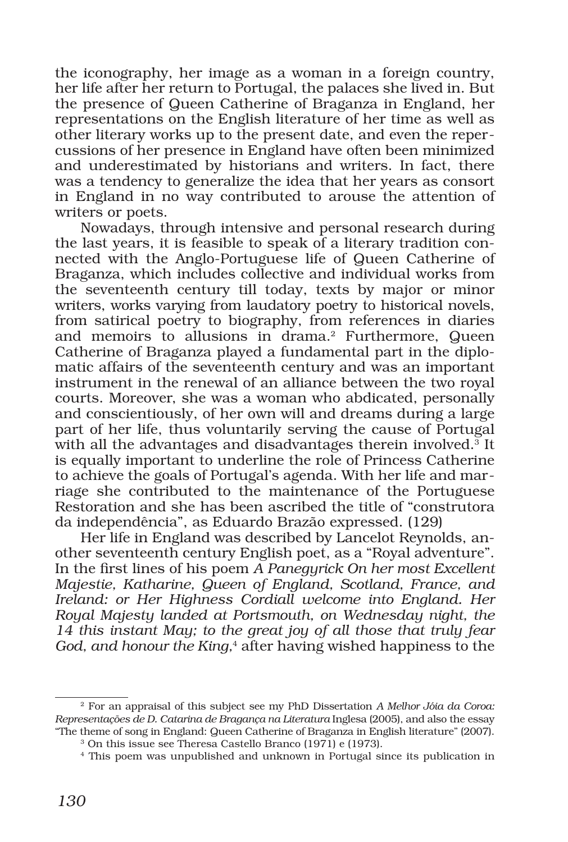the iconography, her image as a woman in a foreign country, her life after her return to Portugal, the palaces she lived in. But the presence of Queen Catherine of Braganza in England, her representations on the English literature of her time as well as other literary works up to the present date, and even the repercussions of her presence in England have often been minimized and underestimated by historians and writers. In fact, there was a tendency to generalize the idea that her years as consort in England in no way contributed to arouse the attention of writers or poets.

Nowadays, through intensive and personal research during the last years, it is feasible to speak of a literary tradition connected with the Anglo-Portuguese life of Queen Catherine of Braganza, which includes collective and individual works from the seventeenth century till today, texts by major or minor writers, works varying from laudatory poetry to historical novels, from satirical poetry to biography, from references in diaries and memoirs to allusions in drama.2 Furthermore, Queen Catherine of Braganza played a fundamental part in the diplomatic affairs of the seventeenth century and was an important instrument in the renewal of an alliance between the two royal courts. Moreover, she was a woman who abdicated, personally and conscientiously, of her own will and dreams during a large part of her life, thus voluntarily serving the cause of Portugal with all the advantages and disadvantages therein involved.<sup>3</sup> It is equally important to underline the role of Princess Catherine to achieve the goals of Portugal's agenda. With her life and marriage she contributed to the maintenance of the Portuguese Restoration and she has been ascribed the title of "construtora da independência", as Eduardo Brazão expressed. (129)

Her life in England was described by Lancelot Reynolds, another seventeenth century English poet, as a "Royal adventure". In the first lines of his poem *A Panegyrick On her most Excellent Majestie, Katharine, Queen of England, Scotland, France, and Ireland: or Her Highness Cordiall welcome into England. Her Royal Majesty landed at Portsmouth, on Wednesday night, the 14 this instant May; to the great joy of all those that truly fear God, and honour the King,*4 after having wished happiness to the

<sup>2</sup> For an appraisal of this subject see my PhD Dissertation *A Melhor Jóia da Coroa: Representações de D. Catarina de Bragança na Literatura* Inglesa (2005), and also the essay "The theme of song in England: Queen Catherine of Braganza in English literature" (2007).

<sup>3</sup> On this issue see Theresa Castello Branco (1971) e (1973).

<sup>4</sup> This poem was unpublished and unknown in Portugal since its publication in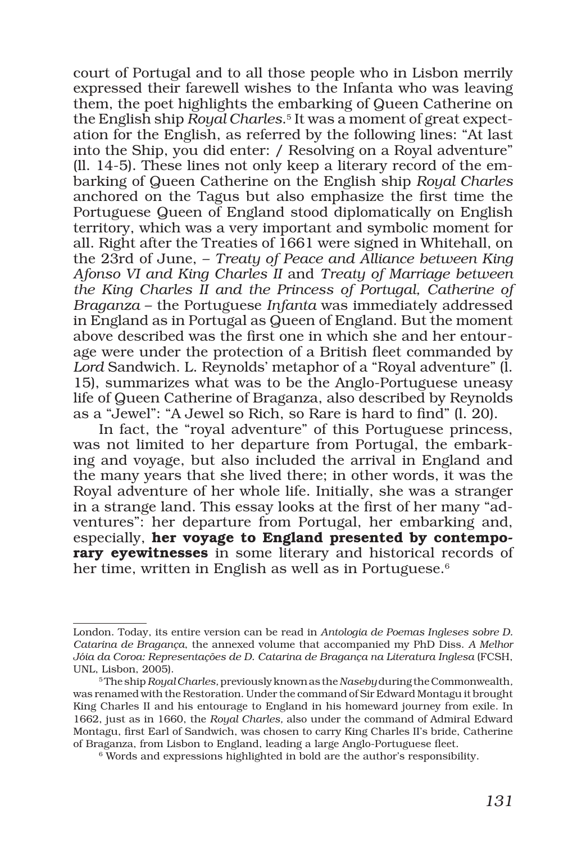court of Portugal and to all those people who in Lisbon merrily expressed their farewell wishes to the Infanta who was leaving them, the poet highlights the embarking of Queen Catherine on the English ship *Royal Charles*.5 It was a moment of great expectation for the English, as referred by the following lines: "At last into the Ship, you did enter: / Resolving on a Royal adventure" (ll. 14-5). These lines not only keep a literary record of the embarking of Queen Catherine on the English ship *Royal Charles* anchored on the Tagus but also emphasize the first time the Portuguese Queen of England stood diplomatically on English territory, which was a very important and symbolic moment for all. Right after the Treaties of 1661 were signed in Whitehall, on the 23rd of June, – *Treaty of Peace and Alliance between King Afonso VI and King Charles II* and *Treaty of Marriage between the King Charles II and the Princess of Portugal, Catherine of Braganza* – the Portuguese *Infanta* was immediately addressed in England as in Portugal as Queen of England. But the moment above described was the first one in which she and her entourage were under the protection of a British fleet commanded by *Lord* Sandwich. L. Reynolds' metaphor of a "Royal adventure" (l. 15), summarizes what was to be the Anglo-Portuguese uneasy life of Queen Catherine of Braganza, also described by Reynolds as a "Jewel": "A Jewel so Rich, so Rare is hard to find" (l. 20).

In fact, the "royal adventure" of this Portuguese princess, was not limited to her departure from Portugal, the embarking and voyage, but also included the arrival in England and the many years that she lived there; in other words, it was the Royal adventure of her whole life. Initially, she was a stranger in a strange land. This essay looks at the first of her many "adventures": her departure from Portugal, her embarking and, especially, her voyage to England presented by contemporary eyewitnesses in some literary and historical records of her time, written in English as well as in Portuguese.<sup>6</sup>

London. Today, its entire version can be read in *Antologia de Poemas Ingleses sobre D. Catarina de Bragança*, the annexed volume that accompanied my PhD Diss. *A Melhor Jóia da Coroa: Representações de D. Catarina de Bragança na Literatura Inglesa* (FCSH, UNL, Lisbon, 2005).

<sup>5</sup> The ship *Royal Charles,* previously known as the *Naseby* during the Commonwealth*,* was renamed with the Restoration. Under the command of Sir Edward Montagu it brought King Charles II and his entourage to England in his homeward journey from exile. In 1662, just as in 1660, the *Royal Charles,* also under the command of Admiral Edward Montagu, first Earl of Sandwich, was chosen to carry King Charles II's bride, Catherine of Braganza, from Lisbon to England, leading a large Anglo-Portuguese fleet.

<sup>6</sup> Words and expressions highlighted in bold are the author's responsibility.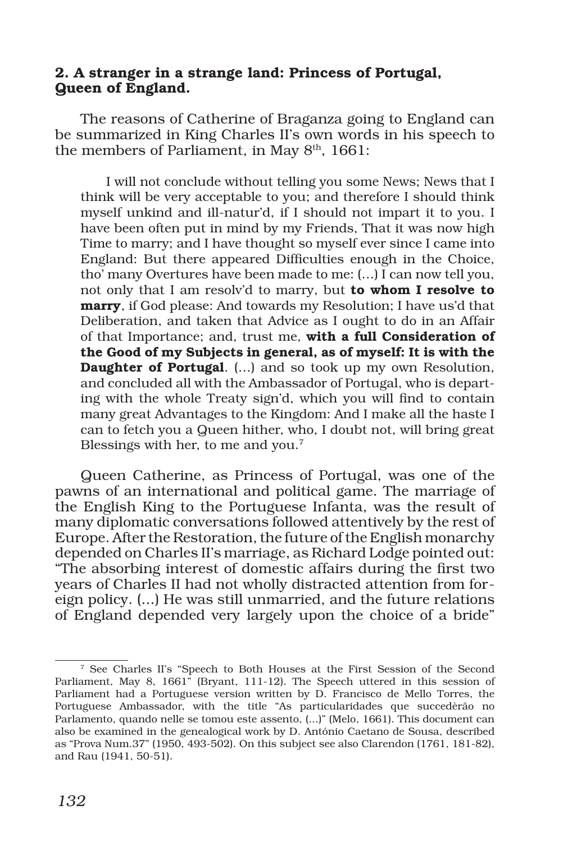## 2. A stranger in a strange land: Princess of Portugal, Queen of England.

The reasons of Catherine of Braganza going to England can be summarized in King Charles II's own words in his speech to the members of Parliament, in May  $8<sup>th</sup>$ , 1661:

I will not conclude without telling you some News; News that I think will be very acceptable to you; and therefore I should think myself unkind and ill-natur'd, if I should not impart it to you. I have been often put in mind by my Friends, That it was now high Time to marry; and I have thought so myself ever since I came into England: But there appeared Difficulties enough in the Choice, tho' many Overtures have been made to me: (…) I can now tell you, not only that I am resolv'd to marry, but to whom I resolve to marry, if God please: And towards my Resolution; I have us'd that Deliberation, and taken that Advice as I ought to do in an Affair of that Importance; and, trust me, with a full Consideration of the Good of my Subjects in general, as of myself: It is with the Daughter of Portugal. (…) and so took up my own Resolution, and concluded all with the Ambassador of Portugal, who is departing with the whole Treaty sign'd, which you will find to contain many great Advantages to the Kingdom: And I make all the haste I can to fetch you a Queen hither, who, I doubt not, will bring great Blessings with her, to me and you.<sup>7</sup>

Queen Catherine, as Princess of Portugal, was one of the pawns of an international and political game. The marriage of the English King to the Portuguese Infanta, was the result of many diplomatic conversations followed attentively by the rest of Europe. After the Restoration, the future of the English monarchy depended on Charles II's marriage, as Richard Lodge pointed out: "The absorbing interest of domestic affairs during the first two years of Charles II had not wholly distracted attention from foreign policy. (...) He was still unmarried, and the future relations of England depended very largely upon the choice of a bride"

<sup>7</sup> See Charles II's "Speech to Both Houses at the First Session of the Second Parliament, May 8,  $1661^{\circ}$  (Bryant, 111-12). The Speech uttered in this session of Parliament had a Portuguese version written by D. Francisco de Mello Torres, the Portuguese Ambassador, with the title "As particularidades que succedèrão no Parlamento, quando nelle se tomou este assento, (...)" (Melo, 1661). This document can also be examined in the genealogical work by D. António Caetano de Sousa, described as "Prova Num.37" (1950, 493-502). On this subject see also Clarendon (1761, 181-82), and Rau (1941, 50-51).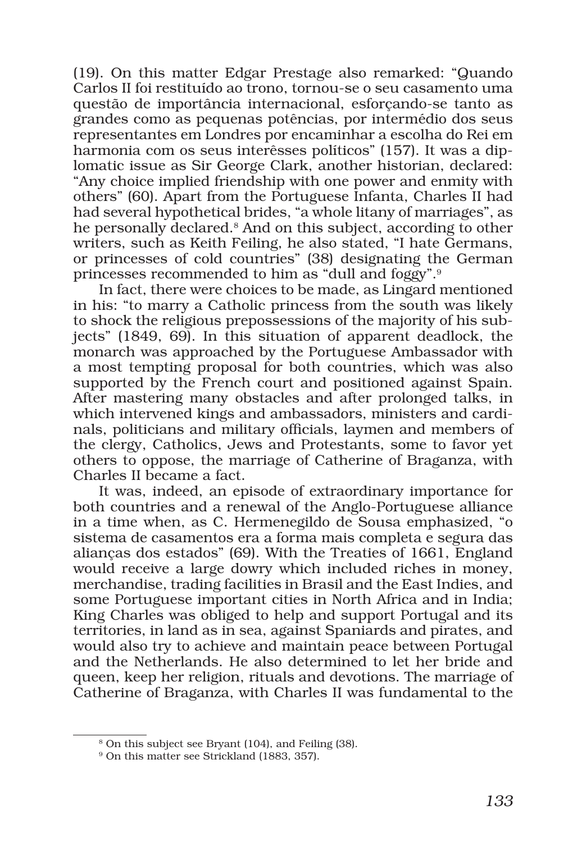(19). On this matter Edgar Prestage also remarked: "Quando Carlos II foi restituído ao trono, tornou-se o seu casamento uma questão de importância internacional, esforçando-se tanto as grandes como as pequenas potências, por intermédio dos seus representantes em Londres por encaminhar a escolha do Rei em harmonia com os seus interêsses políticos" (157). It was a diplomatic issue as Sir George Clark, another historian, declared: "Any choice implied friendship with one power and enmity with others" (60). Apart from the Portuguese Infanta, Charles II had had several hypothetical brides, "a whole litany of marriages", as he personally declared.<sup>8</sup> And on this subject, according to other writers, such as Keith Feiling, he also stated, "I hate Germans, or princesses of cold countries" (38) designating the German princesses recommended to him as "dull and foggy".9

In fact, there were choices to be made, as Lingard mentioned in his: "to marry a Catholic princess from the south was likely to shock the religious prepossessions of the majority of his subjects" (1849, 69). In this situation of apparent deadlock, the monarch was approached by the Portuguese Ambassador with a most tempting proposal for both countries, which was also supported by the French court and positioned against Spain. After mastering many obstacles and after prolonged talks, in which intervened kings and ambassadors, ministers and cardinals, politicians and military officials, laymen and members of the clergy, Catholics, Jews and Protestants, some to favor yet others to oppose, the marriage of Catherine of Braganza, with Charles II became a fact.

It was, indeed, an episode of extraordinary importance for both countries and a renewal of the Anglo-Portuguese alliance in a time when, as C. Hermenegildo de Sousa emphasized, "o sistema de casamentos era a forma mais completa e segura das alianças dos estados" (69). With the Treaties of 1661, England would receive a large dowry which included riches in money, merchandise, trading facilities in Brasil and the East Indies, and some Portuguese important cities in North Africa and in India; King Charles was obliged to help and support Portugal and its territories, in land as in sea, against Spaniards and pirates, and would also try to achieve and maintain peace between Portugal and the Netherlands. He also determined to let her bride and queen, keep her religion, rituals and devotions. The marriage of Catherine of Braganza, with Charles II was fundamental to the

<sup>8</sup> On this subject see Bryant (104), and Feiling (38).

<sup>&</sup>lt;sup>9</sup> On this matter see Strickland (1883, 357).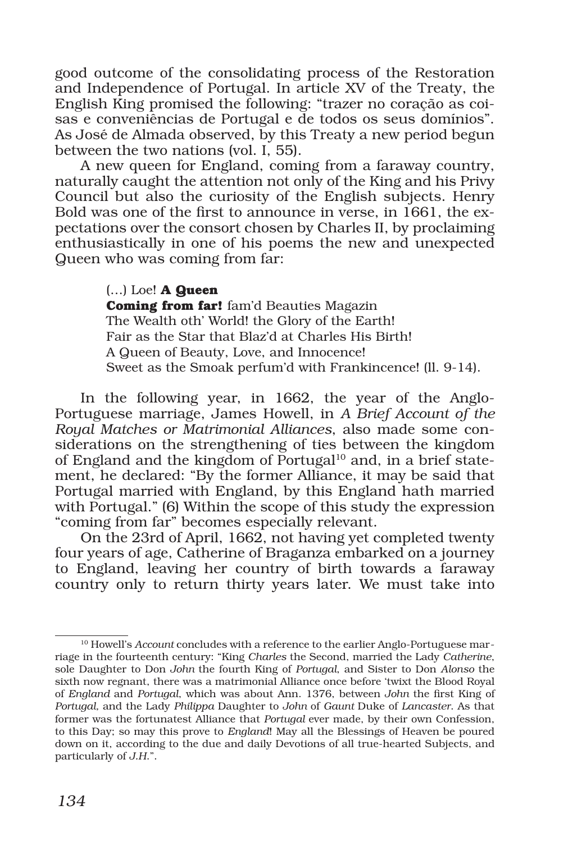good outcome of the consolidating process of the Restoration and Independence of Portugal. In article XV of the Treaty, the English King promised the following: "trazer no coração as coisas e conveniências de Portugal e de todos os seus domínios". As José de Almada observed, by this Treaty a new period begun between the two nations (vol. I, 55).

A new queen for England, coming from a faraway country, naturally caught the attention not only of the King and his Privy Council but also the curiosity of the English subjects. Henry Bold was one of the first to announce in verse, in 1661, the expectations over the consort chosen by Charles II, by proclaiming enthusiastically in one of his poems the new and unexpected Queen who was coming from far:

#### (…) Loe! **A Queen**

**Coming from far!** fam'd Beauties Magazin The Wealth oth' World! the Glory of the Earth! Fair as the Star that Blaz'd at Charles His Birth! A Queen of Beauty, Love, and Innocence! Sweet as the Smoak perfum'd with Frankincence! (ll. 9-14).

In the following year, in 1662, the year of the Anglo-Portuguese marriage, James Howell, in *A Brief Account of the Royal Matches or Matrimonial Alliances*, also made some considerations on the strengthening of ties between the kingdom of England and the kingdom of Portugal<sup>10</sup> and, in a brief statement, he declared: "By the former Alliance, it may be said that Portugal married with England, by this England hath married with Portugal." (6) Within the scope of this study the expression "coming from far" becomes especially relevant.

On the 23rd of April, 1662, not having yet completed twenty four years of age, Catherine of Braganza embarked on a journey to England, leaving her country of birth towards a faraway country only to return thirty years later. We must take into

<sup>&</sup>lt;sup>10</sup> Howell's *Account* concludes with a reference to the earlier Anglo-Portuguese marriage in the fourteenth century: "King *Charles* the Second, married the Lady *Catherine*, sole Daughter to Don *John* the fourth King of *Portugal*, and Sister to Don *Alonso* the sixth now regnant, there was a matrimonial Alliance once before 'twixt the Blood Royal of *England* and *Portugal*, which was about Ann. 1376, between *John* the first King of *Portugal,* and the Lady *Philippa* Daughter to *John* of *Gaunt* Duke of *Lancaster*. As that former was the fortunatest Alliance that *Portugal* ever made, by their own Confession, to this Day; so may this prove to *England*! May all the Blessings of Heaven be poured down on it, according to the due and daily Devotions of all true-hearted Subjects, and particularly of *J.H*.".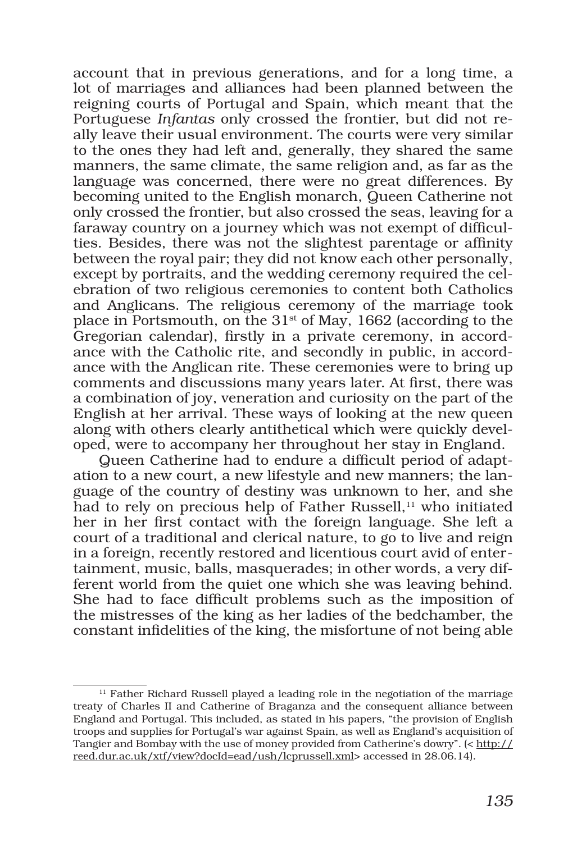account that in previous generations, and for a long time, a lot of marriages and alliances had been planned between the reigning courts of Portugal and Spain, which meant that the Portuguese *Infantas* only crossed the frontier, but did not really leave their usual environment. The courts were very similar to the ones they had left and, generally, they shared the same manners, the same climate, the same religion and, as far as the language was concerned, there were no great differences. By becoming united to the English monarch, Queen Catherine not only crossed the frontier, but also crossed the seas, leaving for a faraway country on a journey which was not exempt of difficulties. Besides, there was not the slightest parentage or affinity between the royal pair; they did not know each other personally, except by portraits, and the wedding ceremony required the celebration of two religious ceremonies to content both Catholics and Anglicans. The religious ceremony of the marriage took place in Portsmouth, on the  $31<sup>st</sup>$  of May, 1662 (according to the Gregorian calendar), firstly in a private ceremony, in accordance with the Catholic rite, and secondly in public, in accordance with the Anglican rite. These ceremonies were to bring up comments and discussions many years later. At first, there was a combination of joy, veneration and curiosity on the part of the English at her arrival. These ways of looking at the new queen along with others clearly antithetical which were quickly developed, were to accompany her throughout her stay in England.

Queen Catherine had to endure a difficult period of adaptation to a new court, a new lifestyle and new manners; the language of the country of destiny was unknown to her, and she had to rely on precious help of Father Russell,<sup>11</sup> who initiated her in her first contact with the foreign language. She left a court of a traditional and clerical nature, to go to live and reign in a foreign, recently restored and licentious court avid of entertainment, music, balls, masquerades; in other words, a very different world from the quiet one which she was leaving behind. She had to face difficult problems such as the imposition of the mistresses of the king as her ladies of the bedchamber, the constant infidelities of the king, the misfortune of not being able

<sup>&</sup>lt;sup>11</sup> Father Richard Russell played a leading role in the negotiation of the marriage treaty of Charles II and Catherine of Braganza and the consequent alliance between England and Portugal. This included, as stated in his papers, "the provision of English troops and supplies for Portugal's war against Spain, as well as England's acquisition of Tangier and Bombay with the use of money provided from Catherine's dowry". (< http:// reed.dur.ac.uk/xtf/view?docId=ead/ush/lcprussell.xml> accessed in 28.06.14).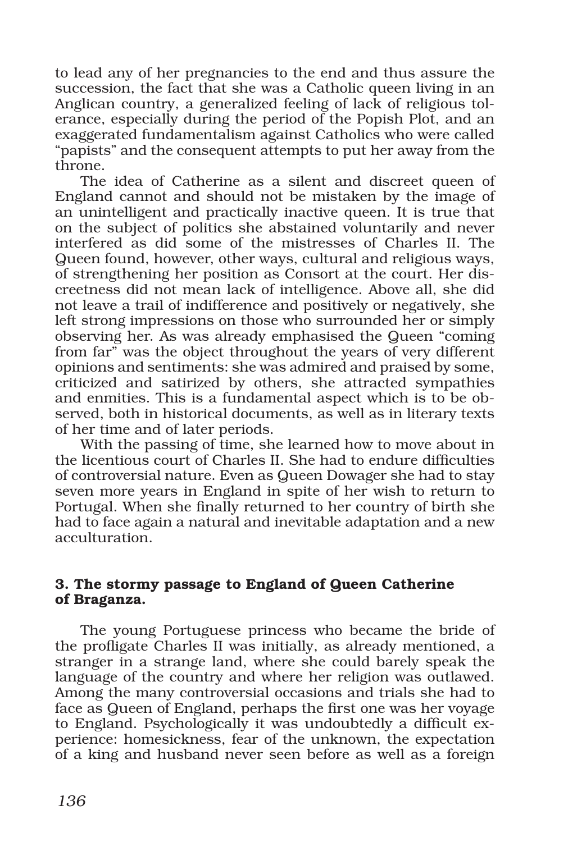to lead any of her pregnancies to the end and thus assure the succession, the fact that she was a Catholic queen living in an Anglican country, a generalized feeling of lack of religious tolerance, especially during the period of the Popish Plot, and an exaggerated fundamentalism against Catholics who were called "papists" and the consequent attempts to put her away from the throne.

The idea of Catherine as a silent and discreet queen of England cannot and should not be mistaken by the image of an unintelligent and practically inactive queen. It is true that on the subject of politics she abstained voluntarily and never interfered as did some of the mistresses of Charles II. The Queen found, however, other ways, cultural and religious ways, of strengthening her position as Consort at the court. Her discreetness did not mean lack of intelligence. Above all, she did not leave a trail of indifference and positively or negatively, she left strong impressions on those who surrounded her or simply observing her. As was already emphasised the Queen "coming from far" was the object throughout the years of very different opinions and sentiments: she was admired and praised by some, criticized and satirized by others, she attracted sympathies and enmities. This is a fundamental aspect which is to be observed, both in historical documents, as well as in literary texts of her time and of later periods.

With the passing of time, she learned how to move about in the licentious court of Charles II. She had to endure difficulties of controversial nature. Even as Queen Dowager she had to stay seven more years in England in spite of her wish to return to Portugal. When she finally returned to her country of birth she had to face again a natural and inevitable adaptation and a new acculturation.

# 3. The stormy passage to England of Queen Catherine of Braganza.

The young Portuguese princess who became the bride of the profligate Charles II was initially, as already mentioned, a stranger in a strange land, where she could barely speak the language of the country and where her religion was outlawed. Among the many controversial occasions and trials she had to face as Queen of England, perhaps the first one was her voyage to England. Psychologically it was undoubtedly a difficult experience: homesickness, fear of the unknown, the expectation of a king and husband never seen before as well as a foreign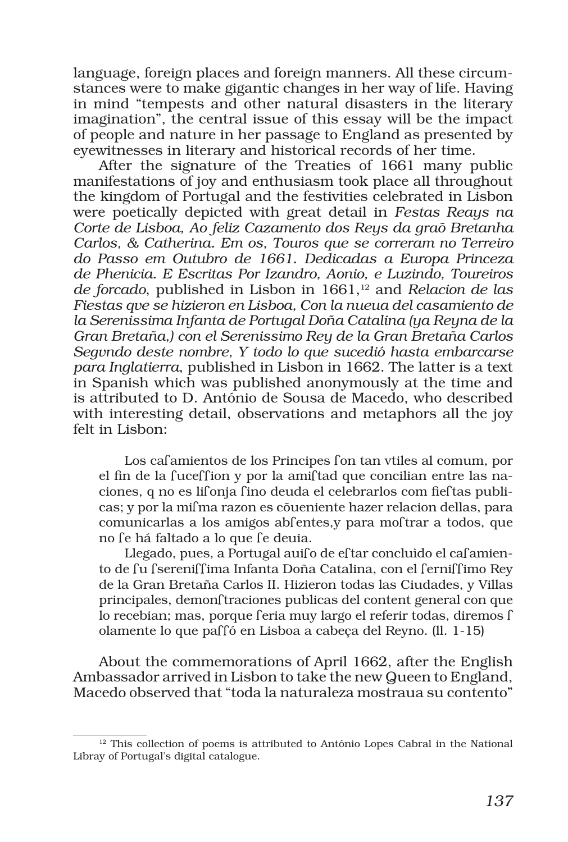language, foreign places and foreign manners. All these circumstances were to make gigantic changes in her way of life. Having in mind "tempests and other natural disasters in the literary imagination", the central issue of this essay will be the impact of people and nature in her passage to England as presented by eyewitnesses in literary and historical records of her time.

After the signature of the Treaties of 1661 many public manifestations of joy and enthusiasm took place all throughout the kingdom of Portugal and the festivities celebrated in Lisbon were poetically depicted with great detail in *Festas Reays na Corte de Lisboa, Ao feliz Cazamento dos Reys da graõ Bretanha Carlos, & Catherina. Em os, Touros que se correram no Terreiro do Passo em Outubro de 1661. Dedicadas a Europa Princeza de Phenicia. E Escritas Por Izandro, Aonio, e Luzindo, Toureiros de forcado*, published in Lisbon in 1661,12 and *Relacion de las Fiestas qve se hizieron en Lisboa, Con la nueua del casamiento de la Serenissima Infanta de Portugal Doña Catalina (ya Reyna de la Gran Bretaña,) con el Serenissimo Rey de la Gran Bretaña Carlos Segvndo deste nombre, Y todo lo que sucedió hasta embarcarse para Inglatierra*, published in Lisbon in 1662. The latter is a text in Spanish which was published anonymously at the time and is attributed to D. António de Sousa de Macedo, who described with interesting detail, observations and metaphors all the joy felt in Lisbon:

Los ca famientos de los Principes fon tan vtiles al comum, por el fin de la fuceffion y por la amiftad que concilian entre las naciones, q no es lifonja fino deuda el celebrarlos com fieftas publicas; y por la milma razon es cõueniente hazer relacion dellas, para comunicarlas a los amigos ab fentes, y para mo ftrar a todos, que no se há faltado a lo que se deuia.

Llegado, pues, a Portugal aui so de estar concluido el ca famiento de l'u l'serenill'ima Infanta Doña Catalina, con el l'ernill'imo Rey de la Gran Bretaña Carlos II. Hizieron todas las Ciudades, y Villas principales, demon ftraciones publicas del content general con que lo recebian; mas, porque feria muy largo el referir todas, diremos f olamente lo que passió en Lisboa a cabeça del Reyno. (ll. 1-15)

About the commemorations of April 1662, after the English Ambassador arrived in Lisbon to take the new Queen to England, Macedo observed that "toda la naturaleza mostraua su contento"

<sup>&</sup>lt;sup>12</sup> This collection of poems is attributed to António Lopes Cabral in the National Libray of Portugal's digital catalogue.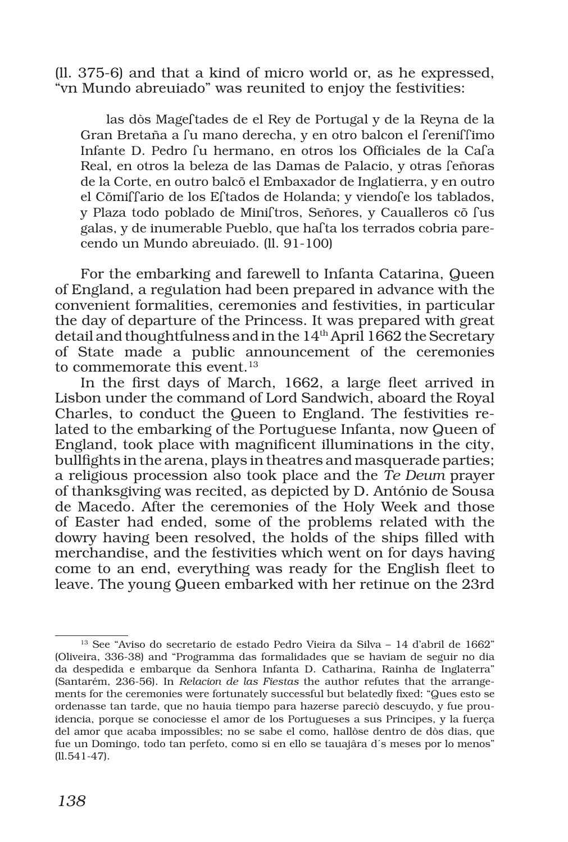(ll. 375-6) and that a kind of micro world or, as he expressed, "vn Mundo abreuiado" was reunited to enjoy the festivities:

las dòs Mage tades de el Rey de Portugal y de la Reyna de la Gran Bretaña a l'u mano derecha, y en otro balcon el lerenillimo Infante D. Pedro fu hermano, en otros los Officiales de la Cafa Real, en otros la beleza de las Damas de Palacio, y otras feñoras de la Corte, en outro balcõ el Embaxador de Inglatierra, y en outro el Cõmil Tario de los Eltados de Holanda; y viendo le los tablados, y Plaza todo poblado de Miniftros, Señores, y Caualleros cõ fus galas, y de inumerable Pueblo, que ha<sup>r</sup>ta los terrados cobria parecendo un Mundo abreuiado. (ll. 91-100)

For the embarking and farewell to Infanta Catarina, Queen of England, a regulation had been prepared in advance with the convenient formalities, ceremonies and festivities, in particular the day of departure of the Princess. It was prepared with great detail and thoughtfulness and in the 14<sup>th</sup> April 1662 the Secretary of State made a public announcement of the ceremonies to commemorate this event.<sup>13</sup>

In the first days of March, 1662, a large fleet arrived in Lisbon under the command of Lord Sandwich, aboard the Royal Charles, to conduct the Queen to England. The festivities related to the embarking of the Portuguese Infanta, now Queen of England, took place with magnificent illuminations in the city, bullfights in the arena, plays in theatres and masquerade parties; a religious procession also took place and the *Te Deum* prayer of thanksgiving was recited, as depicted by D. António de Sousa de Macedo. After the ceremonies of the Holy Week and those of Easter had ended, some of the problems related with the dowry having been resolved, the holds of the ships filled with merchandise, and the festivities which went on for days having come to an end, everything was ready for the English fleet to leave. The young Queen embarked with her retinue on the 23rd

<sup>13</sup> See "Aviso do secretario de estado Pedro Vieira da Silva – 14 d'abril de 1662" (Oliveira, 336-38) and "Programma das formalidades que se haviam de seguir no dia da despedida e embarque da Senhora Infanta D. Catharina, Rainha de Inglaterra" (Santarém, 236-56). In *Relacion de las Fiestas* the author refutes that the arrangements for the ceremonies were fortunately successful but belatedly fixed: "Ques esto se ordenasse tan tarde, que no hauia tiempo para hazerse pareciò descuydo, y fue prouidencia, porque se conociesse el amor de los Portugueses a sus Principes, y la fuerça del amor que acaba impossibles; no se sabe el como, hallòse dentro de dòs dias, que fue un Domingo, todo tan perfeto, como si en ello se tauajâra d´s meses por lo menos" (ll.541-47).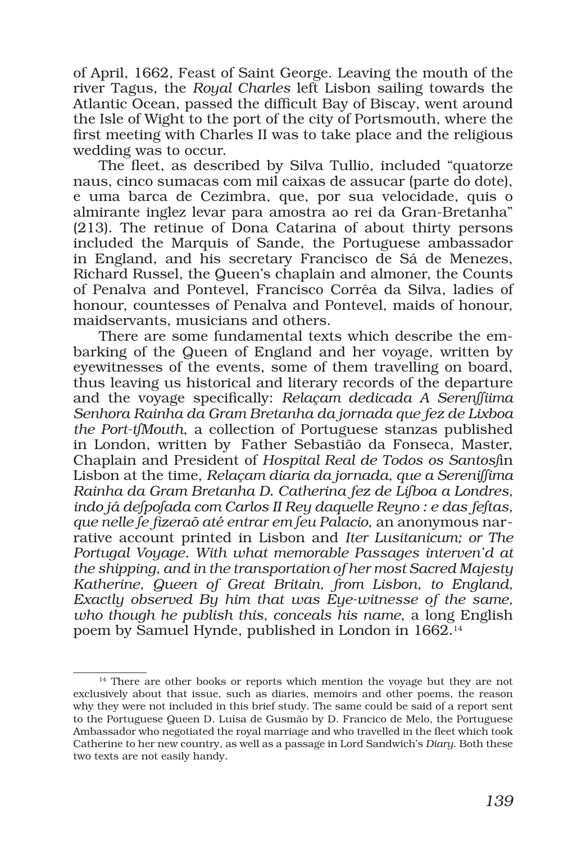of April, 1662, Feast of Saint George. Leaving the mouth of the river Tagus, the *Royal Charles* left Lisbon sailing towards the Atlantic Ocean, passed the difficult Bay of Biscay, went around the Isle of Wight to the port of the city of Portsmouth, where the first meeting with Charles II was to take place and the religious wedding was to occur.

The fleet, as described by Silva Tullio, included "quatorze naus, cinco sumacas com mil caixas de assucar (parte do dote), e uma barca de Cezimbra, que, por sua velocidade, quis o almirante inglez levar para amostra ao rei da Gran-Bretanha" (213). The retinue of Dona Catarina of about thirty persons included the Marquis of Sande, the Portuguese ambassador in England, and his secretary Francisco de Sá de Menezes, Richard Russel, the Queen's chaplain and almoner, the Counts of Penalva and Pontevel, Francisco Corrêa da Silva, ladies of honour, countesses of Penalva and Pontevel, maids of honour, maidservants, musicians and others.

There are some fundamental texts which describe the embarking of the Queen of England and her voyage, written by eyewitnesses of the events, some of them travelling on board, thus leaving us historical and literary records of the departure and the voyage specifically: *Relaçam dedicada A Seren*∫∫*iima Senhora Rainha da Gram Bretanha da jornada que fez de Lixboa the Port-t*∫*Mouth*, a collection of Portuguese stanzas published in London, written by Father Sebastião da Fonseca, Master, Chaplain and President of *Hospital Real de Todos os Santos*∫in Lisbon at the time, *Relaçam diaria da jornada, que a Sereni*∫∫*ima Rainha da Gram Bretanha D. Catherina fez de Li*∫*boa a Londres, indo já de*∫*po*∫*ada com Carlos II Rey daquelle Reyno : e das fe*∫*tas, que nelle* ∫*e fizeraõ até entrar em* ∫*eu Palacio*, an anonymous narrative account printed in Lisbon and *Iter Lusitanicum; or The Portugal Voyage. With what memorable Passages interven'd at the shipping, and in the transportation of her most Sacred Majesty Katherine, Queen of Great Britain, from Lisbon, to England, Exactly observed By him that was Eye-witnesse of the same, who though he publish this, conceals his name*, a long English poem by Samuel Hynde, published in London in 1662.<sup>14</sup>

<sup>&</sup>lt;sup>14</sup> There are other books or reports which mention the voyage but they are not exclusively about that issue, such as diaries, memoirs and other poems, the reason why they were not included in this brief study. The same could be said of a report sent to the Portuguese Queen D. Luísa de Gusmão by D. Francico de Melo, the Portuguese Ambassador who negotiated the royal marriage and who travelled in the fleet which took Catherine to her new country, as well as a passage in Lord Sandwich's *Diary*. Both these two texts are not easily handy.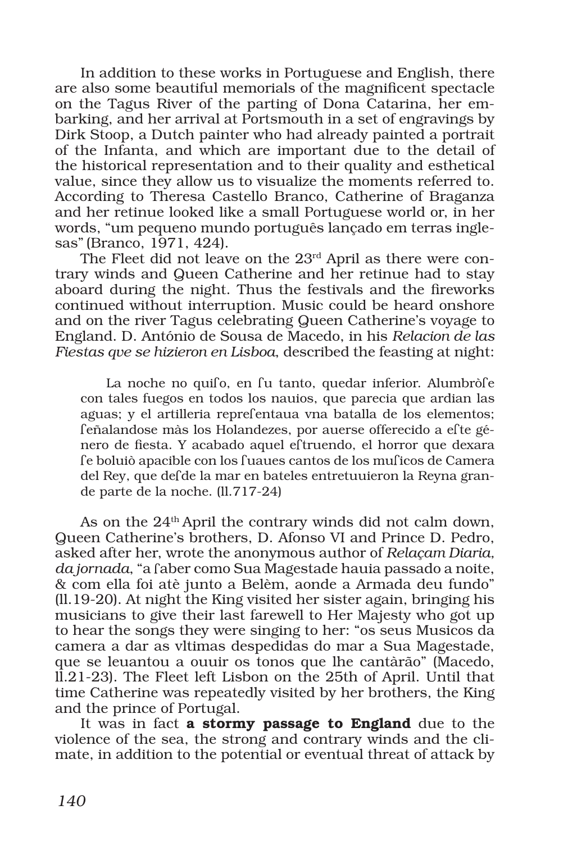In addition to these works in Portuguese and English, there are also some beautiful memorials of the magnificent spectacle on the Tagus River of the parting of Dona Catarina, her embarking, and her arrival at Portsmouth in a set of engravings by Dirk Stoop, a Dutch painter who had already painted a portrait of the Infanta, and which are important due to the detail of the historical representation and to their quality and esthetical value, since they allow us to visualize the moments referred to. According to Theresa Castello Branco, Catherine of Braganza and her retinue looked like a small Portuguese world or, in her words, "um pequeno mundo português lançado em terras inglesas" (Branco, 1971, 424).

The Fleet did not leave on the 23rd April as there were contrary winds and Queen Catherine and her retinue had to stay aboard during the night. Thus the festivals and the fireworks continued without interruption. Music could be heard onshore and on the river Tagus celebrating Queen Catherine's voyage to England. D. António de Sousa de Macedo, in his *Relacion de las Fiestas qve se hizieron en Lisboa*, described the feasting at night:

La noche no quifo, en fu tanto, quedar inferior. Alumbrò fe con tales fuegos en todos los nauios, que parecia que ardian las aguas; y el artilleria repre fentaua vna batalla de los elementos; feñalandose màs los Holandezes, por auerse offerecido a efte género de fiesta. Y acabado aquel e truendo, el horror que dexara fe boluiò apacible con los fuaues cantos de los muficos de Camera del Rey, que de de la mar en bateles entretuuieron la Reyna grande parte de la noche. (ll.717-24)

As on the 24<sup>th</sup> April the contrary winds did not calm down, Queen Catherine's brothers, D. Afonso VI and Prince D. Pedro, asked after her, wrote the anonymous author of *Relaçam Diaria,*  da jornada, "a faber como Sua Magestade hauia passado a noite, & com ella foi atè junto a Belèm, aonde a Armada deu fundo" (ll.19-20). At night the King visited her sister again, bringing his musicians to give their last farewell to Her Majesty who got up to hear the songs they were singing to her: "os seus Musicos da camera a dar as vltimas despedidas do mar a Sua Magestade, que se leuantou a ouuir os tonos que lhe cantàrão" (Macedo, ll.21-23). The Fleet left Lisbon on the 25th of April. Until that time Catherine was repeatedly visited by her brothers, the King and the prince of Portugal.

It was in fact a stormy passage to England due to the violence of the sea, the strong and contrary winds and the climate, in addition to the potential or eventual threat of attack by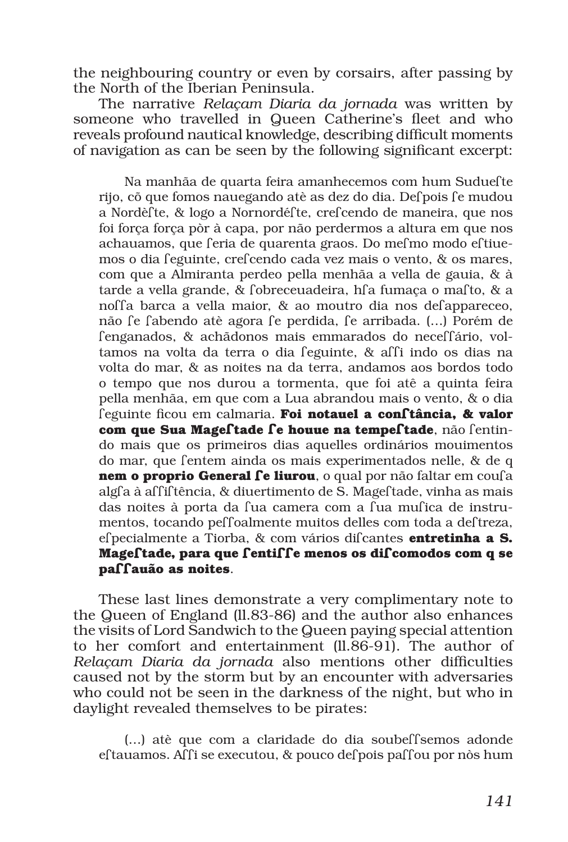the neighbouring country or even by corsairs, after passing by the North of the Iberian Peninsula.

The narrative *Relaçam Diaria da jornada* was written by someone who travelled in Queen Catherine's fleet and who reveals profound nautical knowledge, describing difficult moments of navigation as can be seen by the following significant excerpt:

Na manhãa de quarta feira amanhecemos com hum Sudue fte rijo, cõ que fomos nauegando atè as dez do dia. De pois le mudou a Nordèfte, & logo a Nornordéfte, crefcendo de maneira, que nos foi força força pòr à capa, por não perdermos a altura em que nos achauamos, que feria de quarenta graos. Do mefmo modo eftiuemos o dia feguinte, crefcendo cada vez mais o vento, & os mares, com que a Almiranta perdeo pella menhãa a vella de gauia, & à tarde a vella grande, & fobreceuadeira, h fa fumaça o mafto, & a nolla barca a vella maior, & ao moutro dia nos de appareceo, não se fabendo atè agora se perdida, se arribada. (...) Porém de fenganados, & achãdonos mais emmarados do neceffário, voltamos na volta da terra o dia leguinte, & alli indo os dias na volta do mar, & as noites na da terra, andamos aos bordos todo o tempo que nos durou a tormenta, que foi atê a quinta feira pella menhãa, em que com a Lua abrandou mais o vento, & o dia eguinte ficou em calmaria. **Foi notauel a con tância, & valor com que Sua Magel tade le houue na tempel tade**, não l'entindo mais que os primeiros dias aquelles ordinários mouimentos do mar, que fentem ainda os mais experimentados nelle, & de q **nem o proprio General le liurou**, o qual por não faltar em coula alg a à al filtência, & diuertimento de S. Mage ftade, vinha as mais das noites à porta da fua camera com a fua mufica de instrumentos, tocando peffoalmente muitos delles com toda a deftreza, efpecialmente a Tiorba, & com vários difeantes **entretinha a S. Mageftade, para que fentiffe menos os difcomodos com q se pa auão as noites**.

These last lines demonstrate a very complimentary note to the Queen of England (ll.83-86) and the author also enhances the visits of Lord Sandwich to the Queen paying special attention to her comfort and entertainment (ll.86-91). The author of *Relaçam Diaria da jornada* also mentions other difficulties caused not by the storm but by an encounter with adversaries who could not be seen in the darkness of the night, but who in daylight revealed themselves to be pirates:

 $(...)$  atè que com a claridade do dia soubels emos adonde  $ef$  tauamos. As is executou,  $\&$  pouco defipois passed por nòs hum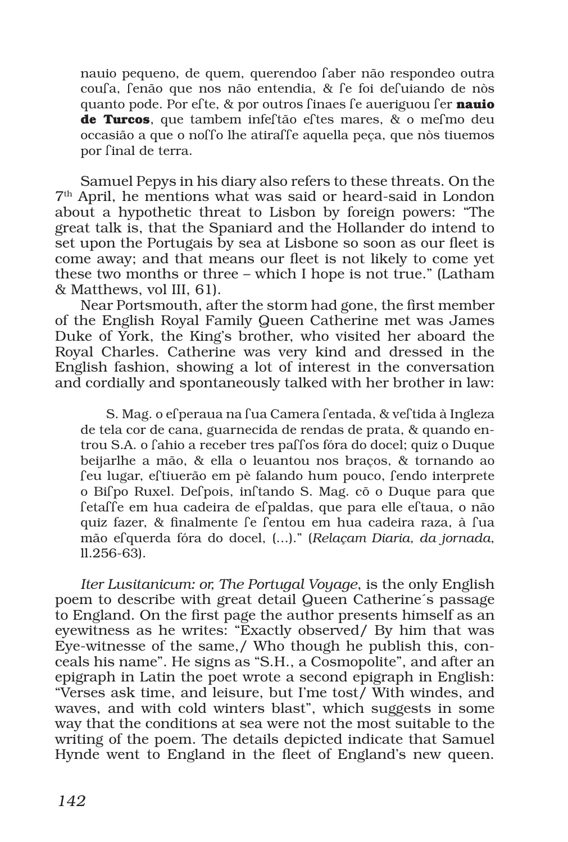nauio pequeno, de quem, querendoo laber não respondeo outra cou a, fenão que nos não entendia, & fe foi de fuiando de nòs quanto pode. Por efte, & por outros finaes fe aueriguou fer **nauio de Turcos**, que tambem infeltão eltes mares, & o melmo deu  $occasião a que o no f'o lhe atira f'fe aquella peca, que nòs tiuemos$ por final de terra.

Samuel Pepys in his diary also refers to these threats. On the 7th April, he mentions what was said or heard-said in London about a hypothetic threat to Lisbon by foreign powers: "The great talk is, that the Spaniard and the Hollander do intend to set upon the Portugais by sea at Lisbone so soon as our fleet is come away; and that means our fleet is not likely to come yet these two months or three – which I hope is not true." (Latham & Matthews, vol III, 61).

Near Portsmouth, after the storm had gone, the first member of the English Royal Family Queen Catherine met was James Duke of York, the King's brother, who visited her aboard the Royal Charles. Catherine was very kind and dressed in the English fashion, showing a lot of interest in the conversation and cordially and spontaneously talked with her brother in law:

S. Mag. o efperaua na fua Camera fentada, & veftida à Ingleza de tela cor de cana, guarnecida de rendas de prata, & quando entrou S.A. o fahio a receber tres paffos fóra do docel; quiz o Duque beijarlhe a mão, & ella o leuantou nos braços, & tornando ao feu lugar, eftiuerão em pè falando hum pouco, fendo interprete o Bilpo Ruxel. Delpois, in tando S. Mag. cõ o Duque para que fetaffe em hua cadeira de efpaldas, que para elle eftaua, o não quiz fazer, & finalmente se fentou em hua cadeira raza, à sua mão e querda fóra do docel, (...)." (*Relaçam Diaria*, da jornada, ll.256-63).

*Iter Lusitanicum: or, The Portugal Voyage*, is the only English poem to describe with great detail Queen Catherine´s passage to England. On the first page the author presents himself as an eyewitness as he writes: "Exactly observed/ By him that was Eye-witnesse of the same,/ Who though he publish this, conceals his name". He signs as "S.H., a Cosmopolite", and after an epigraph in Latin the poet wrote a second epigraph in English: "Verses ask time, and leisure, but I'me tost/ With windes, and waves, and with cold winters blast", which suggests in some way that the conditions at sea were not the most suitable to the writing of the poem. The details depicted indicate that Samuel Hynde went to England in the fleet of England's new queen.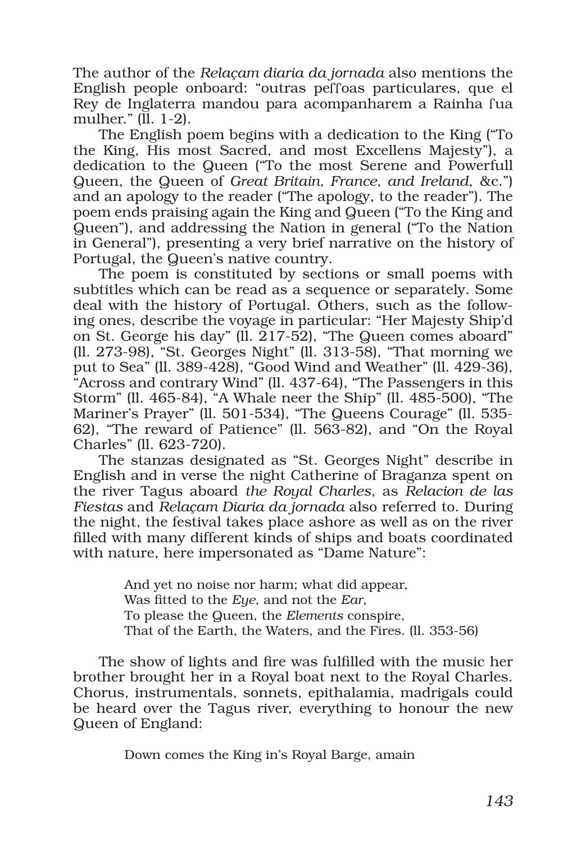The author of the *Relaçam diaria da jornada* also mentions the English people onboard: "outras peffoas particulares, que el Rey de Inglaterra mandou para acompanharem a Rainha fua mulher." (ll. 1-2).

The English poem begins with a dedication to the King ("To the King, His most Sacred, and most Excellens Majesty"), a dedication to the Queen ("To the most Serene and Powerfull Queen, the Queen of *Great Britain, France, and Ireland*, &c.") and an apology to the reader ("The apology, to the reader"). The poem ends praising again the King and Queen ("To the King and Queen"), and addressing the Nation in general ("To the Nation in General"), presenting a very brief narrative on the history of Portugal, the Queen's native country.

The poem is constituted by sections or small poems with subtitles which can be read as a sequence or separately. Some deal with the history of Portugal. Others, such as the following ones, describe the voyage in particular: "Her Majesty Ship'd on St. George his day" (ll. 217-52), "The Queen comes aboard" (ll. 273-98), "St. Georges Night" (ll. 313-58), "That morning we put to Sea" (ll. 389-428), "Good Wind and Weather" (ll. 429-36), "Across and contrary Wind" (ll. 437-64), "The Passengers in this Storm" (ll. 465-84), "A Whale neer the Ship" (ll. 485-500), "The Mariner's Prayer" (ll. 501-534), "The Queens Courage" (ll. 535- 62), "The reward of Patience" (ll. 563-82), and "On the Royal Charles" (ll. 623-720).

The stanzas designated as "St. Georges Night" describe in English and in verse the night Catherine of Braganza spent on the river Tagus aboard *the Royal Charles*, as *Relacion de las Fiestas* and *Relaçam Diaria da jornada* also referred to. During the night, the festival takes place ashore as well as on the river filled with many different kinds of ships and boats coordinated with nature, here impersonated as "Dame Nature":

> And yet no noise nor harm; what did appear, Was fitted to the *Eye*, and not the *Ear*, To please the Queen, the *Elements* conspire, That of the Earth, the Waters, and the Fires. (ll. 353-56)

The show of lights and fire was fulfilled with the music her brother brought her in a Royal boat next to the Royal Charles. Chorus, instrumentals, sonnets, epithalamia, madrigals could be heard over the Tagus river, everything to honour the new Queen of England:

Down comes the King in's Royal Barge, amain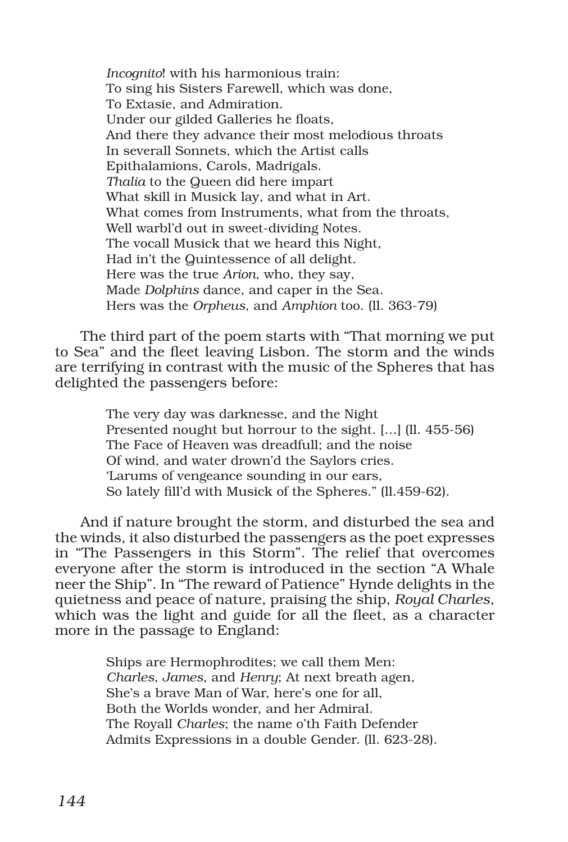*Incognito*! with his harmonious train: To sing his Sisters Farewell, which was done, To Extasie, and Admiration. Under our gilded Galleries he floats, And there they advance their most melodious throats In severall Sonnets, which the Artist calls Epithalamions, Carols, Madrigals. *Thalia* to the Queen did here impart What skill in Musick lay, and what in Art. What comes from Instruments, what from the throats, Well warbl'd out in sweet-dividing Notes. The vocall Musick that we heard this Night, Had in't the Quintessence of all delight. Here was the true *Arion*, who, they say, Made *Dolphins* dance, and caper in the Sea. Hers was the *Orpheus*, and *Amphion* too. (ll. 363-79)

The third part of the poem starts with "That morning we put to Sea" and the fleet leaving Lisbon. The storm and the winds are terrifying in contrast with the music of the Spheres that has delighted the passengers before:

> The very day was darknesse, and the Night Presented nought but horrour to the sight. […] (ll. 455-56) The Face of Heaven was dreadfull; and the noise Of wind, and water drown'd the Saylors cries. 'Larums of vengeance sounding in our ears, So lately fill'd with Musick of the Spheres." (ll.459-62).

And if nature brought the storm, and disturbed the sea and the winds, it also disturbed the passengers as the poet expresses in "The Passengers in this Storm". The relief that overcomes everyone after the storm is introduced in the section "A Whale neer the Ship". In "The reward of Patience" Hynde delights in the quietness and peace of nature, praising the ship, *Royal Charles*, which was the light and guide for all the fleet, as a character more in the passage to England:

> Ships are Hermophrodites; we call them Men: *Charles*, *James*, and *Henry*; At next breath agen, She's a brave Man of War, here's one for all, Both the Worlds wonder, and her Admiral. The Royall *Charles*; the name o'th Faith Defender Admits Expressions in a double Gender. (ll. 623-28).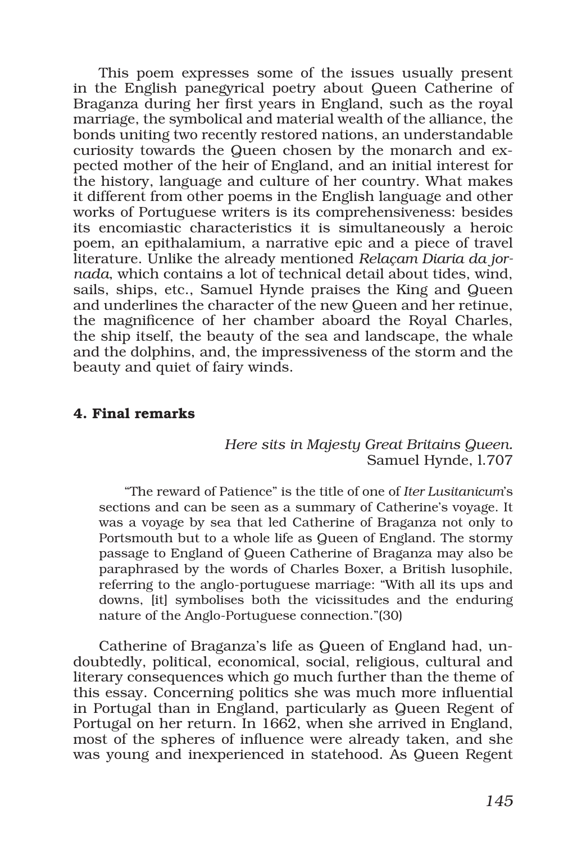This poem expresses some of the issues usually present in the English panegyrical poetry about Queen Catherine of Braganza during her first years in England, such as the royal marriage, the symbolical and material wealth of the alliance, the bonds uniting two recently restored nations, an understandable curiosity towards the Queen chosen by the monarch and expected mother of the heir of England, and an initial interest for the history, language and culture of her country. What makes it different from other poems in the English language and other works of Portuguese writers is its comprehensiveness: besides its encomiastic characteristics it is simultaneously a heroic poem, an epithalamium, a narrative epic and a piece of travel literature. Unlike the already mentioned *Relaçam Diaria da jornada*, which contains a lot of technical detail about tides, wind, sails, ships, etc., Samuel Hynde praises the King and Queen and underlines the character of the new Queen and her retinue, the magnificence of her chamber aboard the Royal Charles, the ship itself, the beauty of the sea and landscape, the whale and the dolphins, and, the impressiveness of the storm and the beauty and quiet of fairy winds.

## 4. Final remarks

## *Here sits in Majesty Great Britains Queen.* Samuel Hynde, l.707

"The reward of Patience" is the title of one of *Iter Lusitanicum*'s sections and can be seen as a summary of Catherine's voyage. It was a voyage by sea that led Catherine of Braganza not only to Portsmouth but to a whole life as Queen of England. The stormy passage to England of Queen Catherine of Braganza may also be paraphrased by the words of Charles Boxer, a British lusophile, referring to the anglo-portuguese marriage: "With all its ups and downs, [it] symbolises both the vicissitudes and the enduring nature of the Anglo-Portuguese connection."(30)

Catherine of Braganza's life as Queen of England had, undoubtedly, political, economical, social, religious, cultural and literary consequences which go much further than the theme of this essay. Concerning politics she was much more influential in Portugal than in England, particularly as Queen Regent of Portugal on her return. In 1662, when she arrived in England, most of the spheres of influence were already taken, and she was young and inexperienced in statehood. As Queen Regent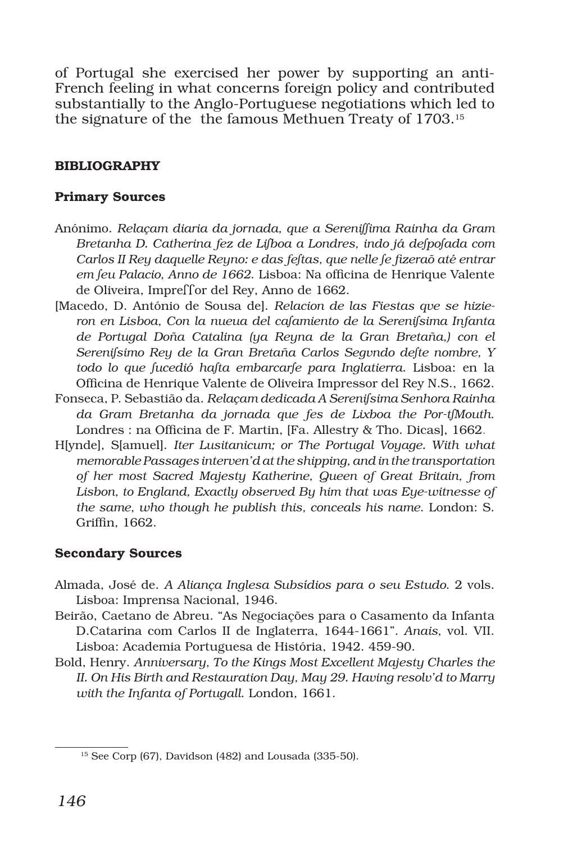of Portugal she exercised her power by supporting an anti-French feeling in what concerns foreign policy and contributed substantially to the Anglo-Portuguese negotiations which led to the signature of the the famous Methuen Treaty of 1703.15

#### BIBLIOGRAPHY

#### Primary Sources

- Anónimo. *Relaçam diaria da jornada, que a Sereni*∫∫*ima Rainha da Gram Bretanha D. Catherina fez de Li*∫*boa a Londres, indo já de*∫*po*∫*ada com Carlos II Rey daquelle Reyno: e das fe*∫*tas, que nelle* ∫*e fizeraõ até entrar em* ∫*eu Palacio, Anno de 1662*. Lisboa: Na officina de Henrique Valente de Oliveira, Impreffor del Rey, Anno de 1662.
- [Macedo, D. António de Sousa de]. *Relacion de las Fiestas qve se hizieron en Lisboa, Con la nueua del ca*∫*amiento de la Sereni*∫*sima Infanta de Portugal Doña Catalina (ya Reyna de la Gran Bretaña,) con el Sereni*∫*simo Rey de la Gran Bretaña Carlos Segvndo de*∫*te nombre, Y todo lo que* ∫*ucedió ha*∫*ta embarcar*∫*e para Inglatierra*. Lisboa: en la Officina de Henrique Valente de Oliveira Impressor del Rey N.S., 1662.
- Fonseca, P. Sebastião da. *Relaçam dedicada A Sereni*∫*sima Senhora Rainha da Gram Bretanha da jornada que fes de Lixboa the Por-t*∫*Mouth*. Londres : na Officina de F. Martin, [Fa. Allestry & Tho. Dicas], 1662.
- H[ynde], S[amuel]. *Iter Lusitanicum; or The Portugal Voyage. With what memorable Passages interven'd at the shipping, and in the transportation of her most Sacred Majesty Katherine, Queen of Great Britain, from Lisbon, to England, Exactly observed By him that was Eye-witnesse of the same, who though he publish this, conceals his name*. London: S. Griffin, 1662.

#### Secondary Sources

- Almada, José de. *A Aliança Inglesa Subsídios para o seu Estudo*. 2 vols. Lisboa: Imprensa Nacional, 1946.
- Beirão, Caetano de Abreu. "As Negociações para o Casamento da Infanta D.Catarina com Carlos II de Inglaterra, 1644-1661". *Anais*, vol. VII. Lisboa: Academia Portuguesa de História, 1942. 459-90.
- Bold, Henry. *Anniversary, To the Kings Most Excellent Majesty Charles the II. On His Birth and Restauration Day, May 29. Having resolv'd to Marry with the Infanta of Portugall*. London, 1661.

<sup>15</sup> See Corp (67), Davidson (482) and Lousada (335-50).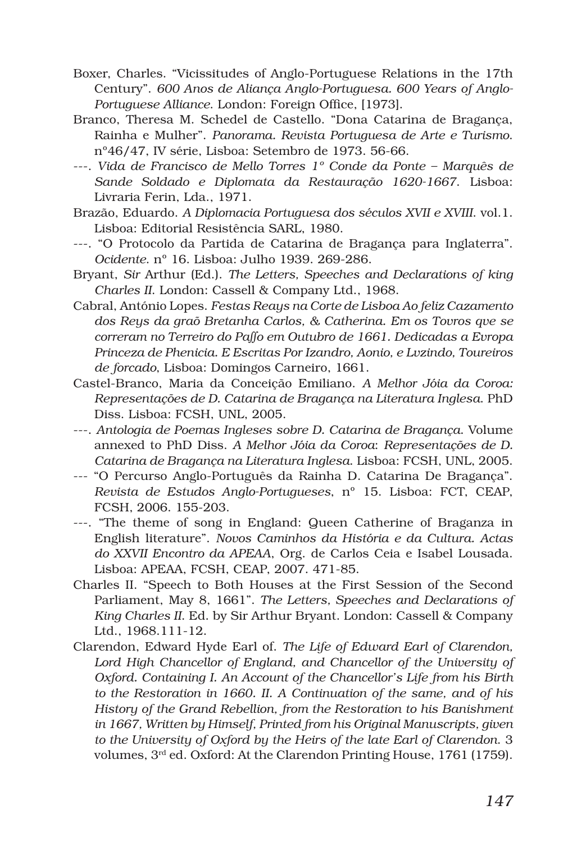- Boxer, Charles. "Vicissitudes of Anglo-Portuguese Relations in the 17th Century". *600 Anos de Aliança Anglo-Portuguesa. 600 Years of Anglo-Portuguese Alliance*. London: Foreign Office, [1973].
- Branco, Theresa M. Schedel de Castello. "Dona Catarina de Bragança, Rainha e Mulher". *Panorama. Revista Portuguesa de Arte e Turismo*. nº46/47, IV série, Lisboa: Setembro de 1973. 56-66.
- ---. *Vida de Francisco de Mello Torres 1º Conde da Ponte Marquês de Sande Soldado e Diplomata da Restauração 1620-1667*. Lisboa: Livraria Ferin, Lda., 1971.
- Brazão, Eduardo. *A Diplomacia Portuguesa dos séculos XVII e XVIII*. vol.1. Lisboa: Editorial Resistência SARL, 1980.
- ---. "O Protocolo da Partida de Catarina de Bragança para Inglaterra". *Ocidente*. nº 16. Lisboa: Julho 1939. 269-286.
- Bryant, *Sir* Arthur (Ed.). *The Letters, Speeches and Declarations of king Charles II*. London: Cassell & Company Ltd., 1968.
- Cabral, António Lopes. *Festas Reays na Corte de Lisboa Ao feliz Cazamento dos Reys da graõ Bretanha Carlos, & Catherina. Em os Tovros qve se correram no Terreiro do Pa*∫∫*o em Outubro de 1661. Dedicadas a Evropa Princeza de Phenicia. E Escritas Por Izandro, Aonio, e Lvzindo, Toureiros de forcado*, Lisboa: Domingos Carneiro, 1661.
- Castel-Branco, Maria da Conceição Emiliano. *A Melhor Jóia da Coroa: Representações de D. Catarina de Bragança na Literatura Inglesa*. PhD Diss. Lisboa: FCSH, UNL, 2005.
- ---. *Antologia de Poemas Ingleses sobre D. Catarina de Bragança*. Volume annexed to PhD Diss. *A Melhor Jóia da Coroa*: *Representações de D. Catarina de Bragança na Literatura Inglesa*. Lisboa: FCSH, UNL, 2005.
- --- "O Percurso Anglo-Português da Rainha D. Catarina De Bragança". *Revista de Estudos Anglo-Portugueses*, nº 15. Lisboa: FCT, CEAP, FCSH, 2006. 155-203.
- ---. "The theme of song in England: Queen Catherine of Braganza in English literature". *Novos Caminhos da História e da Cultura. Actas do XXVII Encontro da APEAA*, Org. de Carlos Ceia e Isabel Lousada. Lisboa: APEAA, FCSH, CEAP, 2007. 471-85.
- Charles II. "Speech to Both Houses at the First Session of the Second Parliament, May 8, 1661". *The Letters, Speeches and Declarations of King Charles II*. Ed. by Sir Arthur Bryant. London: Cassell & Company Ltd., 1968.111-12.
- Clarendon, Edward Hyde Earl of. *The Life of Edward Earl of Clarendon,*  Lord High Chancellor of England, and Chancellor of the University of *Oxford. Containing I. An Account of the Chancellor's Life from his Birth to the Restoration in 1660. II. A Continuation of the same, and of his History of the Grand Rebellion, from the Restoration to his Banishment in 1667, Written by Himself, Printed from his Original Manuscripts, given to the University of Oxford by the Heirs of the late Earl of Clarendon*. 3 volumes, 3rd ed. Oxford: At the Clarendon Printing House, 1761 (1759).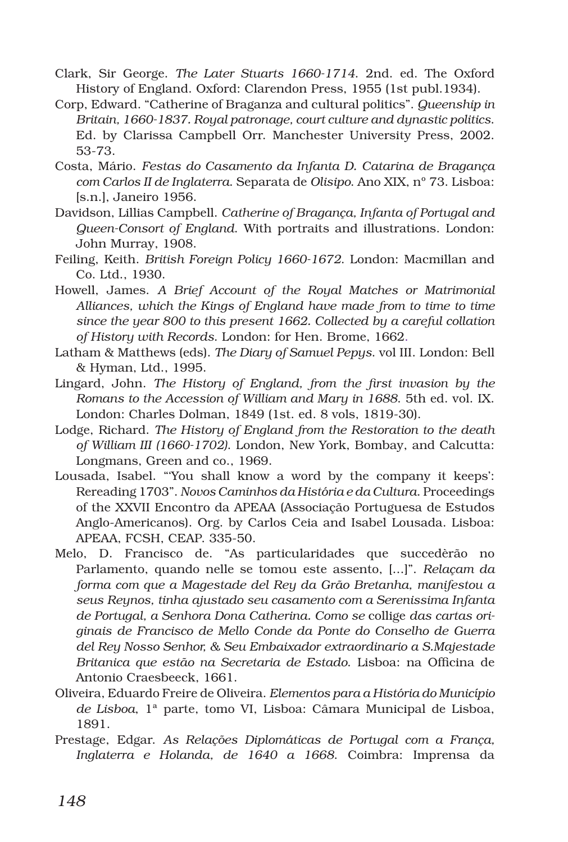- Clark, Sir George. *The Later Stuarts 1660-1714*. 2nd. ed. The Oxford History of England. Oxford: Clarendon Press, 1955 (1st publ.1934).
- Corp, Edward. "Catherine of Braganza and cultural politics". *Queenship in Britain, 1660-1837. Royal patronage, court culture and dynastic politics*. Ed. by Clarissa Campbell Orr. Manchester University Press, 2002. 53-73.
- Costa, Mário. *Festas do Casamento da Infanta D. Catarina de Bragança com Carlos II de Inglaterra*. Separata de *Olisipo*. Ano XIX, nº 73. Lisboa: [s.n.], Janeiro 1956.
- Davidson, Lillias Campbell. *Catherine of Bragança, Infanta of Portugal and Queen-Consort of England*. With portraits and illustrations. London: John Murray, 1908.
- Feiling, Keith. *British Foreign Policy 1660-1672*. London: Macmillan and Co. Ltd., 1930.
- Howell, James. *A Brief Account of the Royal Matches or Matrimonial Alliances, which the Kings of England have made from to time to time since the year 800 to this present 1662. Collected by a careful collation of History with Records*. London: for Hen. Brome, 1662.
- Latham & Matthews (eds). *The Diary of Samuel Pepys*. vol III. London: Bell & Hyman, Ltd., 1995.
- Lingard, John. *The History of England, from the first invasion by the Romans to the Accession of William and Mary in 1688*. 5th ed. vol. IX. London: Charles Dolman, 1849 (1st. ed. 8 vols, 1819-30).
- Lodge, Richard. *The History of England from the Restoration to the death of William III (1660-1702)*. London, New York, Bombay, and Calcutta: Longmans, Green and co., 1969.
- Lousada, Isabel. "'You shall know a word by the company it keeps': Rereading 1703". *Novos Caminhos da História e da Cultura*. Proceedings of the XXVII Encontro da APEAA (Associação Portuguesa de Estudos Anglo-Americanos). Org. by Carlos Ceia and Isabel Lousada. Lisboa: APEAA, FCSH, CEAP. 335-50.
- Melo, D. Francisco de. "As particularidades que succedèrão no Parlamento, quando nelle se tomou este assento, [...]". *Relaçam da forma com que a Magestade del Rey da Grão Bretanha, manifestou a seus Reynos, tinha ajustado seu casamento com a Serenissima Infanta de Portugal, a Senhora Dona Catherina. Como se* collige *das cartas originais de Francisco de Mello Conde da Ponte do Conselho de Guerra del Rey Nosso Senhor, & Seu Embaixador extraordinario a S.Majestade Britanica que estão na Secretaria de Estado*. Lisboa: na Officina de Antonio Craesbeeck, 1661.
- Oliveira, Eduardo Freire de Oliveira. *Elementos para a História do Município de Lisboa*, 1ª parte, tomo VI, Lisboa: Câmara Municipal de Lisboa, 1891.
- Prestage, Edgar. *As Relações Diplomáticas de Portugal com a França, Inglaterra e Holanda, de 1640 a 1668*. Coimbra: Imprensa da